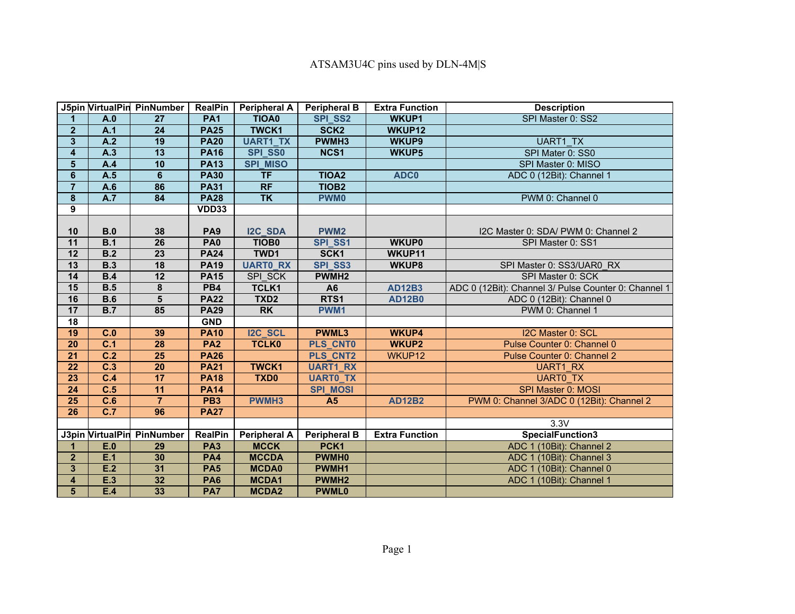|                         |                  | J5pin VirtualPin PinNumber | <b>RealPin</b>  | <b>Peripheral A</b> | <b>Peripheral B</b> | <b>Extra Function</b> | <b>Description</b>                                   |
|-------------------------|------------------|----------------------------|-----------------|---------------------|---------------------|-----------------------|------------------------------------------------------|
|                         | A.0              | 27                         | <b>PA1</b>      | <b>TIOA0</b>        | <b>SPI SS2</b>      | <b>WKUP1</b>          | SPI Master 0: SS2                                    |
| 2 <sup>1</sup>          | A.1              | 24                         | <b>PA25</b>     | <b>TWCK1</b>        | SCK <sub>2</sub>    | WKUP12                |                                                      |
| $\mathbf{3}$            | A.2              | 19                         | <b>PA20</b>     | <b>UART1 TX</b>     | PWMH <sub>3</sub>   | <b>WKUP9</b>          | <b>UART1 TX</b>                                      |
| $\overline{\mathbf{4}}$ | A.3              | 13                         | <b>PA16</b>     | <b>SPI SS0</b>      | NCS1                | <b>WKUP5</b>          | SPI Mater 0: SS0                                     |
| $\overline{\mathbf{5}}$ | A.4              | 10                         | <b>PA13</b>     | <b>SPI MISO</b>     |                     |                       | SPI Master 0: MISO                                   |
| $6\phantom{a}$          | A.5              | $6\phantom{1}$             | <b>PA30</b>     | <b>TF</b>           | <b>TIOA2</b>        | ADC0                  | ADC 0 (12Bit): Channel 1                             |
| $\overline{7}$          | A.6              | 86                         | <b>PA31</b>     | <b>RF</b>           | TIOB <sub>2</sub>   |                       |                                                      |
| $\bf{8}$                | A.7              | 84                         | <b>PA28</b>     | <b>TK</b>           | <b>PWM0</b>         |                       | PWM 0: Channel 0                                     |
| $\overline{9}$          |                  |                            | <b>VDD33</b>    |                     |                     |                       |                                                      |
|                         |                  |                            |                 |                     |                     |                       |                                                      |
| 10                      | B.0              | 38                         | PA <sub>9</sub> | I2C_SDA             | PWM <sub>2</sub>    |                       | I2C Master 0: SDA/ PWM 0: Channel 2                  |
| 11                      | B.1              | 26                         | PA <sub>0</sub> | TIOB <sub>0</sub>   | SPI SS1             | <b>WKUP0</b>          | SPI Master 0: SS1                                    |
| 12                      | B.2              | 23                         | <b>PA24</b>     | TWD1                | SCK1                | WKUP11                |                                                      |
| 13                      | <b>B.3</b>       | 18                         | <b>PA19</b>     | <b>UARTO_RX</b>     | SPI_SS3             | WKUP8                 | SPI Master 0: SS3/UAR0 RX                            |
| 14                      | B.4              | 12                         | <b>PA15</b>     | SPI SCK             | PWMH <sub>2</sub>   |                       | SPI Master 0: SCK                                    |
| 15                      | B.5              | 8                          | PB4             | <b>TCLK1</b>        | A <sub>6</sub>      | <b>AD12B3</b>         | ADC 0 (12Bit): Channel 3/ Pulse Counter 0: Channel 1 |
| 16                      | B.6              | $5\phantom{1}$             | <b>PA22</b>     | TXD <sub>2</sub>    | RTS1                | <b>AD12B0</b>         | ADC 0 (12Bit): Channel 0                             |
| 17                      | B.7              | 85                         | <b>PA29</b>     | <b>RK</b>           | PWM1                |                       | PWM 0: Channel 1                                     |
| 18                      |                  |                            | <b>GND</b>      |                     |                     |                       |                                                      |
| 19                      | C.0              | 39                         | <b>PA10</b>     | I2C_SCL             | <b>PWML3</b>        | <b>WKUP4</b>          | I2C Master 0: SCL                                    |
| 20                      | C.1              | 28                         | <b>PA2</b>      | <b>TCLK0</b>        | <b>PLS CNT0</b>     | <b>WKUP2</b>          | Pulse Counter 0: Channel 0                           |
| 21                      | C.2              | 25                         | <b>PA26</b>     |                     | <b>PLS CNT2</b>     | WKUP12                | Pulse Counter 0: Channel 2                           |
| $\overline{22}$         | $\overline{C.3}$ | 20                         | <b>PA21</b>     | <b>TWCK1</b>        | <b>UART1 RX</b>     |                       | <b>UART1 RX</b>                                      |
| 23                      | C.4              | 17                         | <b>PA18</b>     | TXD0                | <b>UARTO_TX</b>     |                       | <b>UARTO TX</b>                                      |
| 24                      | C.5              | 11                         | <b>PA14</b>     |                     | <b>SPI MOSI</b>     |                       | <b>SPI Master 0: MOSI</b>                            |
| 25                      | C.6              | $\overline{7}$             | PB <sub>3</sub> | <b>PWMH3</b>        | A <sub>5</sub>      | <b>AD12B2</b>         | PWM 0: Channel 3/ADC 0 (12Bit): Channel 2            |
| 26                      | C.7              | 96                         | <b>PA27</b>     |                     |                     |                       |                                                      |
|                         |                  |                            |                 |                     |                     |                       | 3.3V                                                 |
|                         |                  | J3pin VirtualPin PinNumber | <b>RealPin</b>  | <b>Peripheral A</b> | <b>Peripheral B</b> | <b>Extra Function</b> | SpecialFunction3                                     |
|                         | E.0              | 29                         | PA <sub>3</sub> | <b>MCCK</b>         | PCK1                |                       | ADC 1 (10Bit): Channel 2                             |
| 2 <sup>1</sup>          | E.1              | 30                         | <b>PA4</b>      | <b>MCCDA</b>        | <b>PWMH0</b>        |                       | ADC 1 (10Bit): Channel 3                             |
| $\mathbf{3}$            | E.2              | 31                         | PA <sub>5</sub> | <b>MCDA0</b>        | PWMH1               |                       | ADC 1 (10Bit): Channel 0                             |
| $\overline{\mathbf{4}}$ | E.3              | 32                         | <b>PA6</b>      | MCDA1               | PWMH <sub>2</sub>   |                       | ADC 1 (10Bit): Channel 1                             |
| 5                       | E.4              | 33                         | PA7             | <b>MCDA2</b>        | <b>PWML0</b>        |                       |                                                      |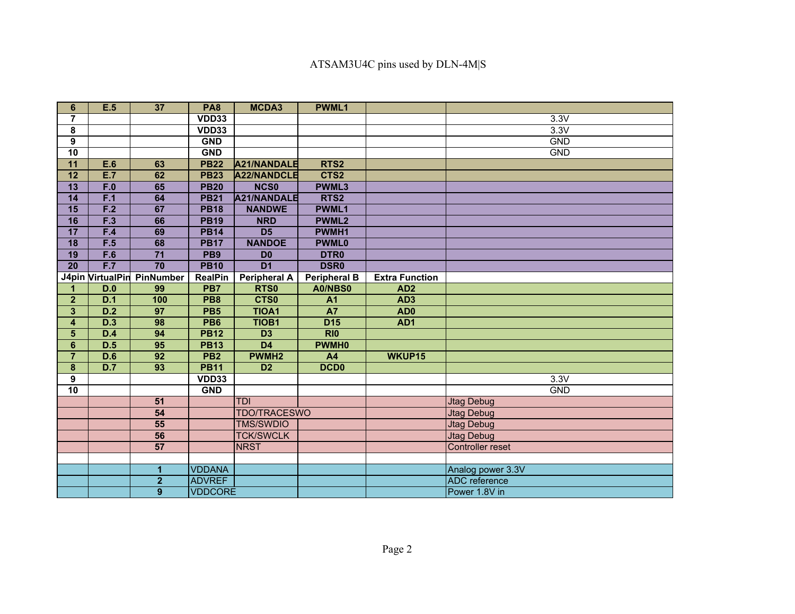## ATSAM3U4C pins used by DLN-4M|S

| 6                       | E.5              | 37                      | PA <sub>8</sub> | MCDA3               | <b>PWML1</b>                 |                       |                         |
|-------------------------|------------------|-------------------------|-----------------|---------------------|------------------------------|-----------------------|-------------------------|
| $\overline{7}$          |                  |                         | VDD33           |                     |                              |                       | 3.3V                    |
| 8                       |                  |                         | VDD33           |                     |                              |                       | 3.3V                    |
| $\overline{9}$          |                  |                         | <b>GND</b>      |                     |                              |                       | <b>GND</b>              |
| 10                      |                  |                         | <b>GND</b>      |                     |                              |                       | <b>GND</b>              |
| 11                      | E.6              | 63                      | <b>PB22</b>     | A21/NANDALE         | RTS2                         |                       |                         |
| 12                      | E.7              | 62                      | <b>PB23</b>     | A22/NANDCLE         | CTS2                         |                       |                         |
| 13                      | F.0              | 65                      | <b>PB20</b>     | <b>NCS0</b>         | <b>PWML3</b>                 |                       |                         |
| 14                      | F.1              | 64                      | <b>PB21</b>     | A21/NANDALE         | RTS <sub>2</sub>             |                       |                         |
| 15                      | F.2              | 67                      | <b>PB18</b>     | <b>NANDWE</b>       | <b>PWML1</b>                 |                       |                         |
| 16                      | F.3              | 66                      | <b>PB19</b>     | <b>NRD</b>          | <b>PWML2</b>                 |                       |                         |
| $\overline{17}$         | F.4              | 69                      | <b>PB14</b>     | $\overline{D5}$     | PWMH1                        |                       |                         |
| $\overline{18}$         | F.5              | 68                      | <b>PB17</b>     | <b>NANDOE</b>       | <b>PWML0</b>                 |                       |                         |
| 19                      | F.6              | $\overline{71}$         | PB <sub>9</sub> | D <sub>0</sub>      | <b>DTRO</b>                  |                       |                         |
| $\overline{20}$         | F.7              | $\overline{70}$         | <b>PB10</b>     | $\overline{D1}$     | <b>DSR0</b>                  |                       |                         |
|                         | J4pin VirtualPin | PinNumber               | <b>RealPin</b>  | <b>Peripheral A</b> | <b>Peripheral B</b>          | <b>Extra Function</b> |                         |
| 1                       | D.0              | 99                      | PB7             | RTS0                | A0/NBS0                      | AD <sub>2</sub>       |                         |
| $\overline{2}$          | D.1              | 100                     | PB <sub>8</sub> | CTS0                | A <sub>1</sub>               | AD <sub>3</sub>       |                         |
| $\overline{\mathbf{3}}$ | D.2              | $\overline{97}$         | PB <sub>5</sub> | <b>TIOA1</b>        | $\overline{A7}$              | AD <sub>0</sub>       |                         |
| $\overline{\mathbf{4}}$ | D.3              | 98                      | PB <sub>6</sub> | <b>TIOB1</b>        | D <sub>15</sub>              | AD1                   |                         |
| 5                       | D.4              | 94                      | <b>PB12</b>     | D <sub>3</sub>      | $\overline{R}$ <sub>10</sub> |                       |                         |
| $6\phantom{a}$          | D.5              | 95                      | <b>PB13</b>     | $\overline{D4}$     | <b>PWMH0</b>                 |                       |                         |
| $\overline{7}$          | D.6              | 92                      | PB <sub>2</sub> | PWMH <sub>2</sub>   | A4                           | WKUP15                |                         |
| $\overline{\mathbf{8}}$ | D.7              | 93                      | <b>PB11</b>     | D <sub>2</sub>      | <b>DCD0</b>                  |                       |                         |
| $\overline{9}$          |                  |                         | VDD33           |                     |                              |                       | 3.3V                    |
| 10                      |                  |                         | <b>GND</b>      |                     |                              |                       | <b>GND</b>              |
|                         |                  | 51                      |                 | <b>TDI</b>          |                              |                       | <b>Jtag Debug</b>       |
|                         |                  | 54                      |                 | <b>TDO/TRACESWO</b> |                              |                       | <b>Jtag Debug</b>       |
|                         |                  | 55                      |                 | <b>TMS/SWDIO</b>    |                              |                       | <b>Jtag Debug</b>       |
|                         |                  | 56                      |                 | <b>TCK/SWCLK</b>    |                              |                       | <b>Jtag Debug</b>       |
|                         |                  | $\overline{57}$         |                 | <b>NRST</b>         |                              |                       | <b>Controller reset</b> |
|                         |                  |                         |                 |                     |                              |                       |                         |
|                         |                  | 1                       | <b>VDDANA</b>   |                     |                              |                       | Analog power 3.3V       |
|                         |                  | $\overline{\mathbf{2}}$ | <b>ADVREF</b>   |                     |                              |                       | <b>ADC</b> reference    |
|                         |                  | $\mathbf{9}$            | <b>VDDCORE</b>  |                     |                              |                       | Power 1.8V in           |